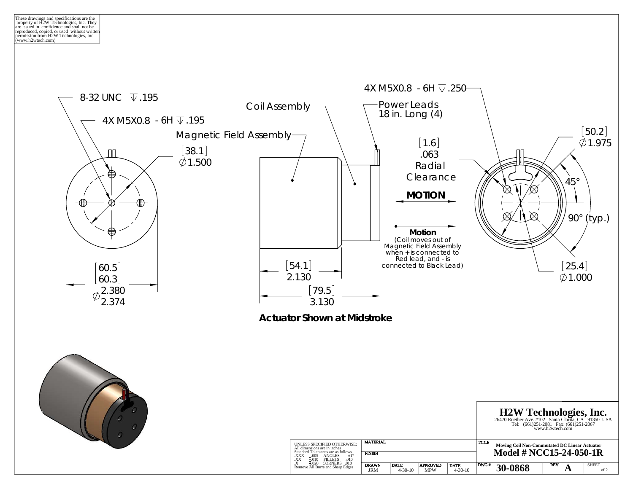